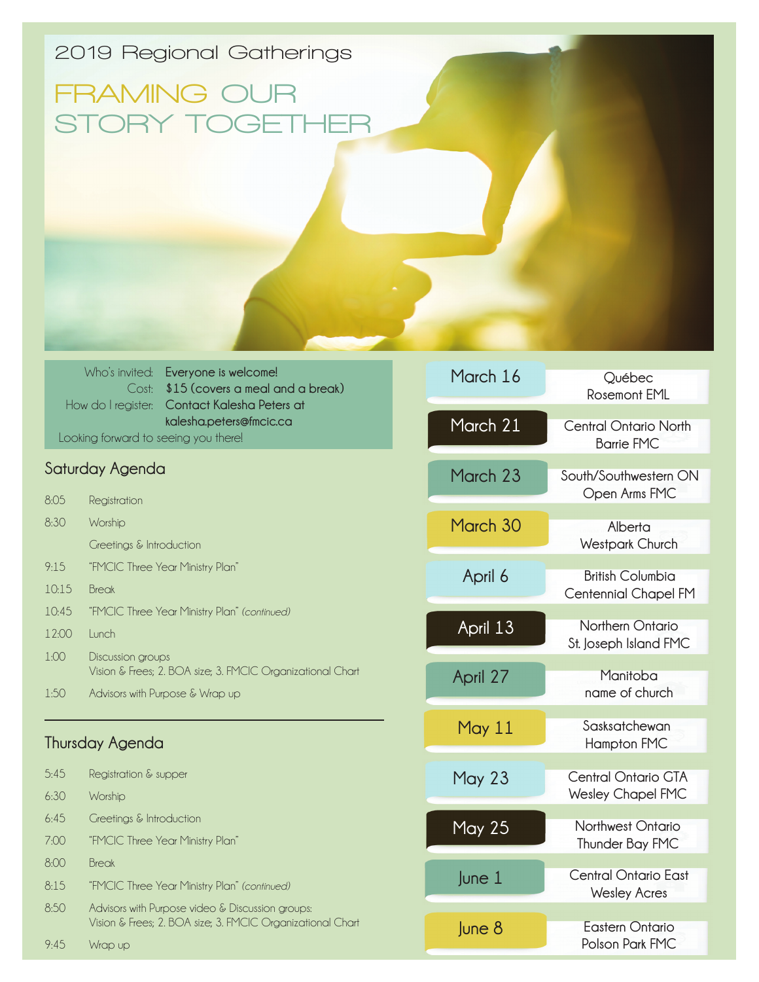## **2019 Regional Gatherings**

## **FRAMING OUR STORY TOGETHER**

|                                      | Who's invited: Everyone is welcome!          |  |
|--------------------------------------|----------------------------------------------|--|
|                                      | Cost: \$15 (covers a meal and a break)       |  |
|                                      | How do I register: Contact Kalesha Peters at |  |
|                                      | kalesha.peters@fmcic.ca                      |  |
| Looking forward to seeing you there! |                                              |  |

## **Saturday Agenda**

| 8:05<br>Registration |
|----------------------|
|----------------------|

- 8:30 Worship
	- Greetings & Introduction
- 9:15 "FMCIC Three Year Ministry Plan"
- 10:15 Break
- 10:45 "FMCIC Three Year Ministry Plan" *(continued)*
- 12:00 Lunch
- 1:00 Discussion groups Vision & Frees; 2. BOA size; 3. FMCIC Organizational Chart
- 1:50 Advisors with Purpose & Wrap up

## **Thursday Agenda**

| 5.45 | Registration & supper                                                                                          |
|------|----------------------------------------------------------------------------------------------------------------|
| 6:30 | Worship                                                                                                        |
| 6.45 | Greetings & Introduction                                                                                       |
| 7:00 | "FMCIC Three Year Ministry Plan"                                                                               |
| 8:00 | Break                                                                                                          |
| 8:15 | "FMCIC Three Year Ministry Plan" (continued)                                                                   |
| 8.50 | Advisors with Purpose video & Discussion groups:<br>Vision & Frees; 2. BOA size; 3. FMCIC Organizational Chart |
| 9.45 | Wrap up                                                                                                        |

| March 16      | Québec<br><b>Rosemont EML</b>                          |
|---------------|--------------------------------------------------------|
| March 21      | <b>Central Ontario North</b><br><b>Barrie FMC</b>      |
| March 23      | South/Southwestern ON<br>Open Arms FMC                 |
| March 30      | Alberta<br><b>Westpark Church</b>                      |
| April 6       | <b>British Columbia</b><br><b>Centennial Chapel FM</b> |
| April 13      | Northern Ontario<br>St. Joseph Island FMC              |
| April 27      | Manitoba<br>name of church                             |
| May 11        | Sasksatchewan<br><b>Hampton FMC</b>                    |
| <b>May 23</b> | <b>Central Ontario GTA</b><br><b>Wesley Chapel FMC</b> |
| <b>May 25</b> | Northwest Ontario<br>Thunder Bay FMC                   |
| $ $ une $1$   | Central Ontario East<br><b>Wesley Acres</b>            |
| June 8        | Eastern Ontario<br>Polson Park FMC                     |